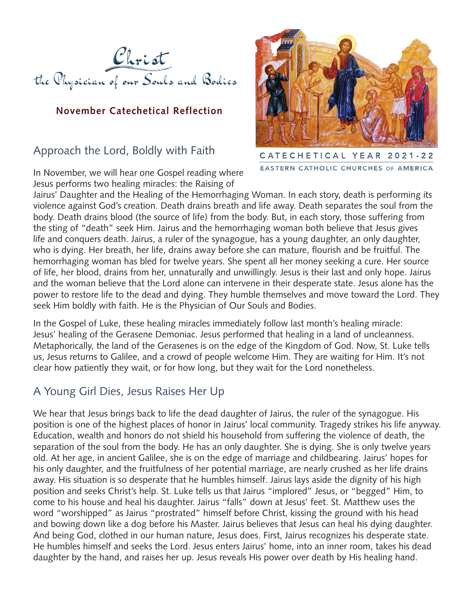

#### **November Catechetical Reflection**

## Approach the Lord, Boldly with Faith

In November, we will hear one Gospel reading where Jesus performs two healing miracles: the Raising of



CATECHETICAL YEAR 2021-22 EASTERN CATHOLIC CHURCHES OF AMERICA

Jairus' Daughter and the Healing of the Hemorrhaging Woman. In each story, death is performing its violence against God's creation. Death drains breath and life away. Death separates the soul from the body. Death drains blood (the source of life) from the body. But, in each story, those suffering from the sting of "death" seek Him. Jairus and the hemorrhaging woman both believe that Jesus gives life and conquers death. Jairus, a ruler of the synagogue, has a young daughter, an only daughter, who is dying. Her breath, her life, drains away before she can mature, flourish and be fruitful. The hemorrhaging woman has bled for twelve years. She spent all her money seeking a cure. Her source of life, her blood, drains from her, unnaturally and unwillingly. Jesus is their last and only hope. Jairus and the woman believe that the Lord alone can intervene in their desperate state. Jesus alone has the power to restore life to the dead and dying. They humble themselves and move toward the Lord. They seek Him boldly with faith. He is the Physician of Our Souls and Bodies.

In the Gospel of Luke, these healing miracles immediately follow last month's healing miracle: Jesus' healing of the Gerasene Demoniac. Jesus performed that healing in a land of uncleanness. Metaphorically, the land of the Gerasenes is on the edge of the Kingdom of God. Now, St. Luke tells us, Jesus returns to Galilee, and a crowd of people welcome Him. They are waiting for Him. It's not clear how patiently they wait, or for how long, but they wait for the Lord nonetheless.

## A Young Girl Dies, Jesus Raises Her Up

We hear that Jesus brings back to life the dead daughter of Jairus, the ruler of the synagogue. His position is one of the highest places of honor in Jairus' local community. Tragedy strikes his life anyway. Education, wealth and honors do not shield his household from suffering the violence of death, the separation of the soul from the body. He has an only daughter. She is dying. She is only twelve years old. At her age, in ancient Galilee, she is on the edge of marriage and childbearing. Jairus' hopes for his only daughter, and the fruitfulness of her potential marriage, are nearly crushed as her life drains away. His situation is so desperate that he humbles himself. Jairus lays aside the dignity of his high position and seeks Christ's help. St. Luke tells us that Jairus "implored" Jesus, or "begged" Him, to come to his house and heal his daughter. Jairus "falls" down at Jesus' feet. St. Matthew uses the word "worshipped" as Jairus "prostrated" himself before Christ, kissing the ground with his head and bowing down like a dog before his Master. Jairus believes that Jesus can heal his dying daughter. And being God, clothed in our human nature, Jesus does. First, Jairus recognizes his desperate state. He humbles himself and seeks the Lord. Jesus enters Jairus' home, into an inner room, takes his dead daughter by the hand, and raises her up. Jesus reveals His power over death by His healing hand.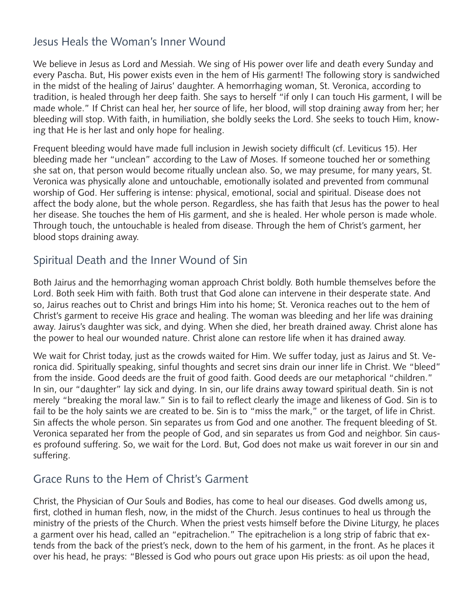## Jesus Heals the Woman's Inner Wound

We believe in Jesus as Lord and Messiah. We sing of His power over life and death every Sunday and every Pascha. But, His power exists even in the hem of His garment! The following story is sandwiched in the midst of the healing of Jairus' daughter. A hemorrhaging woman, St. Veronica, according to tradition, is healed through her deep faith. She says to herself "if only I can touch His garment, I will be made whole." If Christ can heal her, her source of life, her blood, will stop draining away from her; her bleeding will stop. With faith, in humiliation, she boldly seeks the Lord. She seeks to touch Him, knowing that He is her last and only hope for healing.

Frequent bleeding would have made full inclusion in Jewish society difficult (cf. Leviticus 15). Her bleeding made her "unclean" according to the Law of Moses. If someone touched her or something she sat on, that person would become ritually unclean also. So, we may presume, for many years, St. Veronica was physically alone and untouchable, emotionally isolated and prevented from communal worship of God. Her suffering is intense: physical, emotional, social and spiritual. Disease does not affect the body alone, but the whole person. Regardless, she has faith that Jesus has the power to heal her disease. She touches the hem of His garment, and she is healed. Her whole person is made whole. Through touch, the untouchable is healed from disease. Through the hem of Christ's garment, her blood stops draining away.

# Spiritual Death and the Inner Wound of Sin

Both Jairus and the hemorrhaging woman approach Christ boldly. Both humble themselves before the Lord. Both seek Him with faith. Both trust that God alone can intervene in their desperate state. And so, Jairus reaches out to Christ and brings Him into his home; St. Veronica reaches out to the hem of Christ's garment to receive His grace and healing. The woman was bleeding and her life was draining away. Jairus's daughter was sick, and dying. When she died, her breath drained away. Christ alone has the power to heal our wounded nature. Christ alone can restore life when it has drained away.

We wait for Christ today, just as the crowds waited for Him. We suffer today, just as Jairus and St. Veronica did. Spiritually speaking, sinful thoughts and secret sins drain our inner life in Christ. We "bleed" from the inside. Good deeds are the fruit of good faith. Good deeds are our metaphorical "children." In sin, our "daughter" lay sick and dying. In sin, our life drains away toward spiritual death. Sin is not merely "breaking the moral law." Sin is to fail to reflect clearly the image and likeness of God. Sin is to fail to be the holy saints we are created to be. Sin is to "miss the mark," or the target, of life in Christ. Sin affects the whole person. Sin separates us from God and one another. The frequent bleeding of St. Veronica separated her from the people of God, and sin separates us from God and neighbor. Sin causes profound suffering. So, we wait for the Lord. But, God does not make us wait forever in our sin and suffering.

# Grace Runs to the Hem of Christ's Garment

Christ, the Physician of Our Souls and Bodies, has come to heal our diseases. God dwells among us, first, clothed in human flesh, now, in the midst of the Church. Jesus continues to heal us through the ministry of the priests of the Church. When the priest vests himself before the Divine Liturgy, he places a garment over his head, called an "epitrachelion." The epitrachelion is a long strip of fabric that extends from the back of the priest's neck, down to the hem of his garment, in the front. As he places it over his head, he prays: "Blessed is God who pours out grace upon His priests: as oil upon the head,